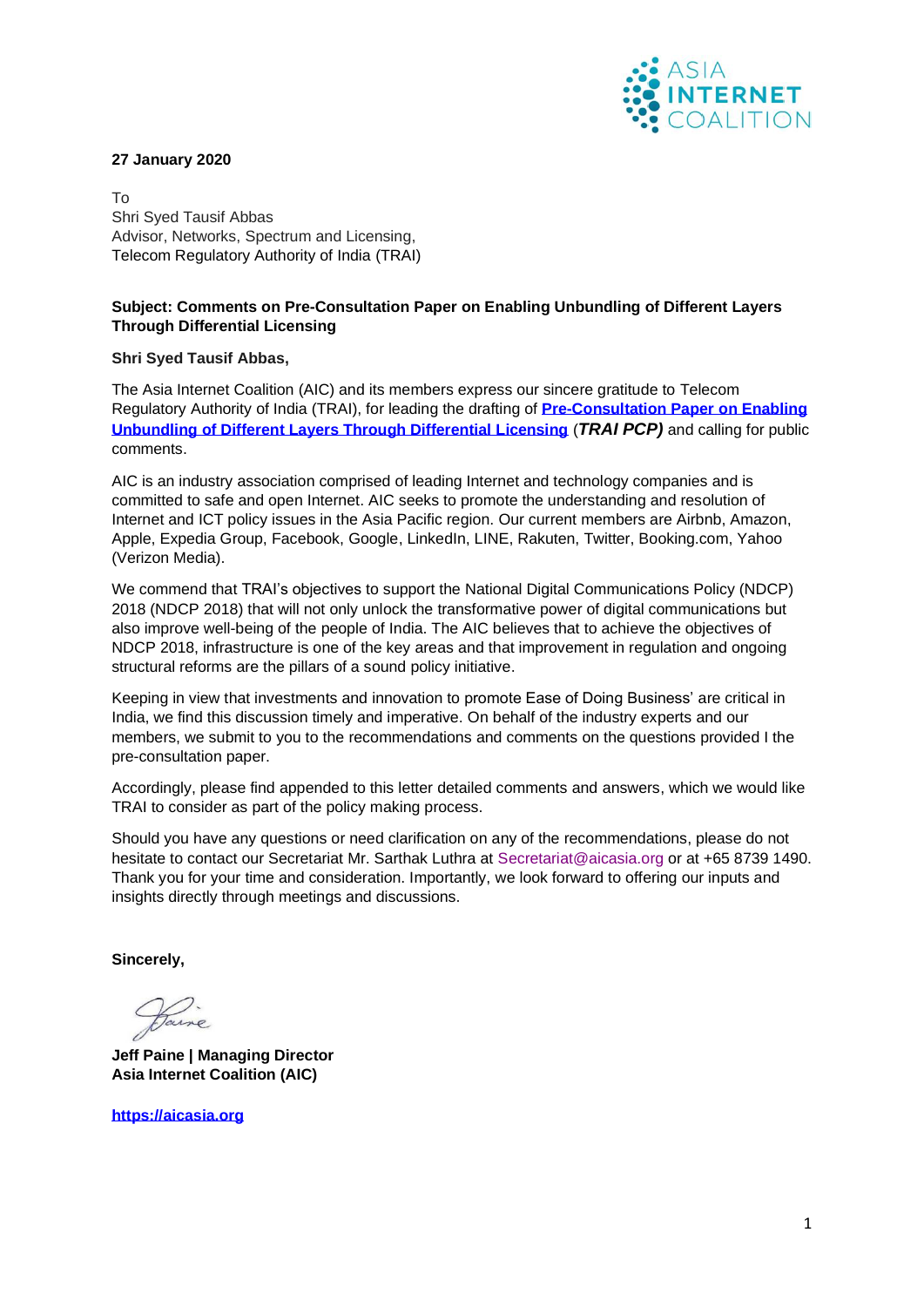

#### **27 January 2020**

To Shri Syed Tausif Abbas Advisor, Networks, Spectrum and Licensing, Telecom Regulatory Authority of India (TRAI)

# **Subject: Comments on Pre-Consultation Paper on Enabling Unbundling of Different Layers Through Differential Licensing**

#### **Shri Syed Tausif Abbas,**

The Asia Internet Coalition (AIC) and its members express our sincere gratitude to Telecom Regulatory Authority of India (TRAI), for leading the drafting of **[Pre-Consultation Paper](https://main.trai.gov.in/sites/default/files/CP_09122019.pdf) on Enabling [Unbundling of Different Layers Through Differential Licensing](https://main.trai.gov.in/sites/default/files/CP_09122019.pdf)** (*TRAI PCP)* and calling for public comments.

AIC is an industry association comprised of leading Internet and technology companies and is committed to safe and open Internet. AIC seeks to promote the understanding and resolution of Internet and ICT policy issues in the Asia Pacific region. Our current members are Airbnb, Amazon, Apple, Expedia Group, Facebook, Google, LinkedIn, LINE, Rakuten, Twitter, Booking.com, Yahoo (Verizon Media).

We commend that TRAI's objectives to support the National Digital Communications Policy (NDCP) 2018 (NDCP 2018) that will not only unlock the transformative power of digital communications but also improve well-being of the people of India. The AIC believes that to achieve the objectives of NDCP 2018, infrastructure is one of the key areas and that improvement in regulation and ongoing structural reforms are the pillars of a sound policy initiative.

Keeping in view that investments and innovation to promote Ease of Doing Business' are critical in India, we find this discussion timely and imperative. On behalf of the industry experts and our members, we submit to you to the recommendations and comments on the questions provided I the pre-consultation paper.

Accordingly, please find appended to this letter detailed comments and answers, which we would like TRAI to consider as part of the policy making process.

Should you have any questions or need clarification on any of the recommendations, please do not hesitate to contact our Secretariat Mr. Sarthak Luthra at Secretariat@aicasia.org or at +65 8739 1490. Thank you for your time and consideration. Importantly, we look forward to offering our inputs and insights directly through meetings and discussions.

**Sincerely,** 

Jaine

**Jeff Paine | Managing Director Asia Internet Coalition (AIC)** 

**[https://aicasia.org](https://aicasia.org/)**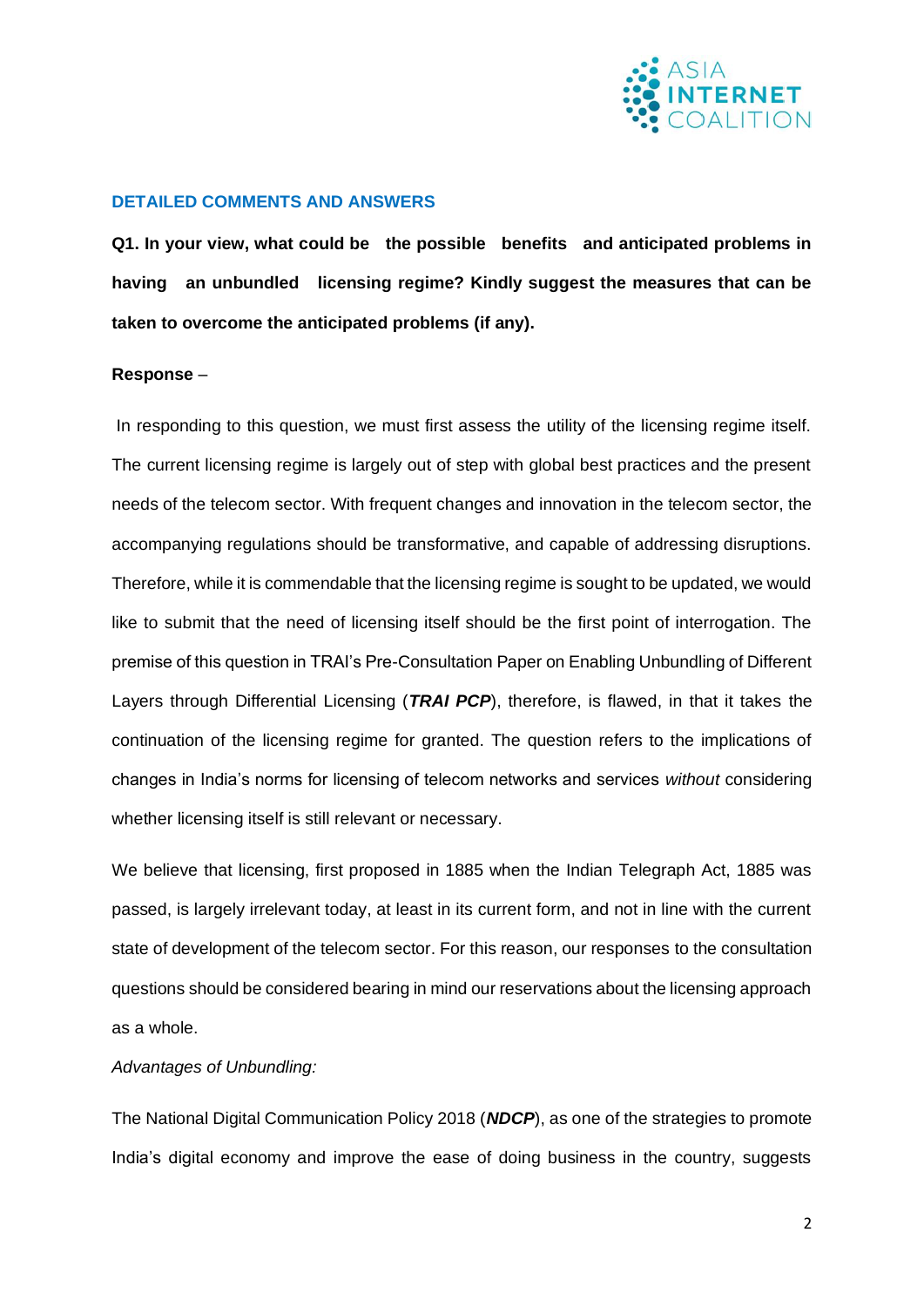

# **DETAILED COMMENTS AND ANSWERS**

**Q1. In your view, what could be the possible benefits and anticipated problems in having an unbundled licensing regime? Kindly suggest the measures that can be taken to overcome the anticipated problems (if any).**

## **Response** –

In responding to this question, we must first assess the utility of the licensing regime itself. The current licensing regime is largely out of step with global best practices and the present needs of the telecom sector. With frequent changes and innovation in the telecom sector, the accompanying regulations should be transformative, and capable of addressing disruptions. Therefore, while it is commendable that the licensing regime is sought to be updated, we would like to submit that the need of licensing itself should be the first point of interrogation. The premise of this question in TRAI's Pre-Consultation Paper on Enabling Unbundling of Different Layers through Differential Licensing (*TRAI PCP*), therefore, is flawed, in that it takes the continuation of the licensing regime for granted. The question refers to the implications of changes in India's norms for licensing of telecom networks and services *without* considering whether licensing itself is still relevant or necessary.

We believe that licensing, first proposed in 1885 when the Indian Telegraph Act, 1885 was passed, is largely irrelevant today, at least in its current form, and not in line with the current state of development of the telecom sector. For this reason, our responses to the consultation questions should be considered bearing in mind our reservations about the licensing approach as a whole.

## *Advantages of Unbundling:*

The National Digital Communication Policy 2018 (*NDCP*), as one of the strategies to promote India's digital economy and improve the ease of doing business in the country, suggests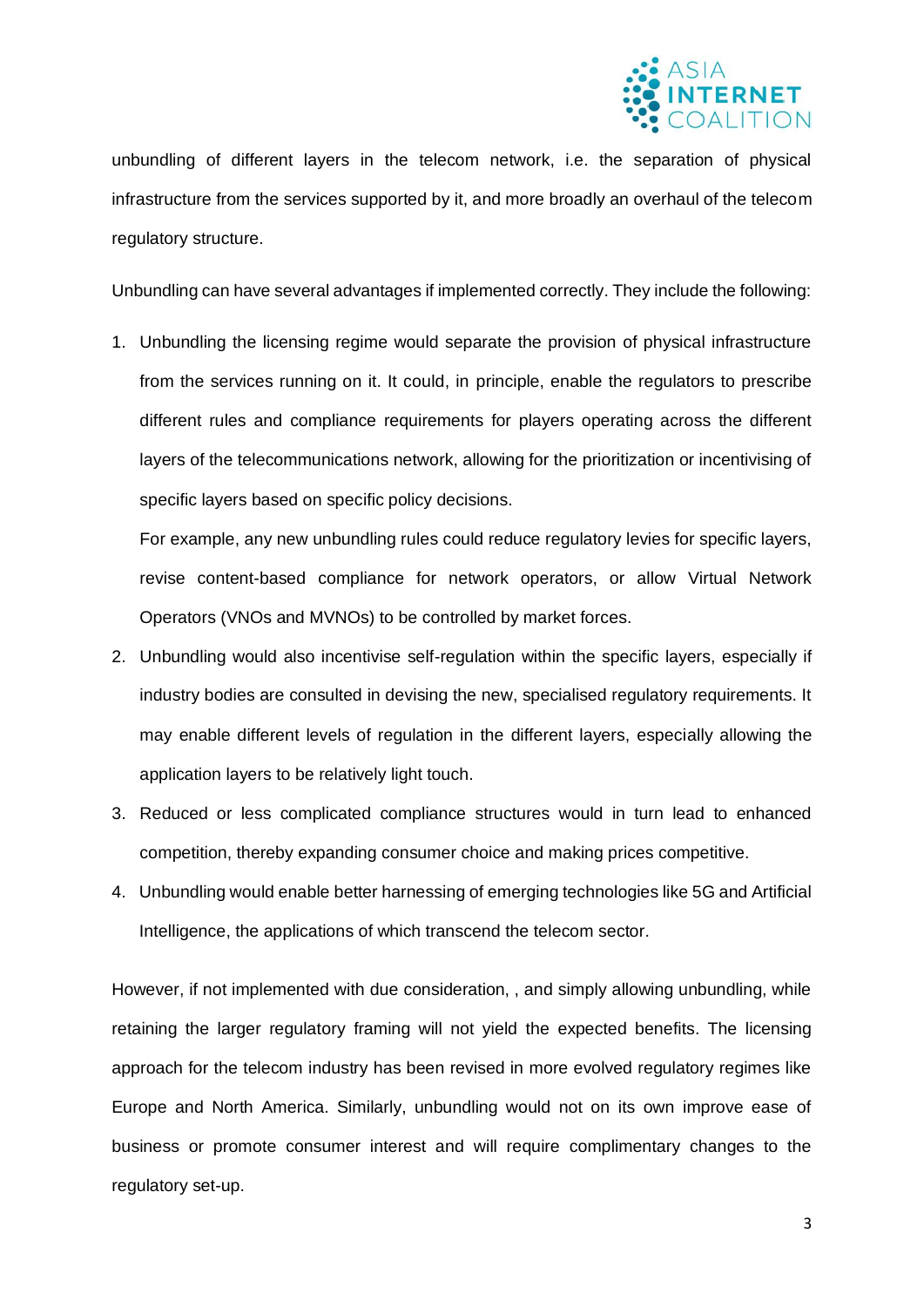

unbundling of different layers in the telecom network, i.e. the separation of physical infrastructure from the services supported by it, and more broadly an overhaul of the telecom regulatory structure.

Unbundling can have several advantages if implemented correctly. They include the following:

1. Unbundling the licensing regime would separate the provision of physical infrastructure from the services running on it. It could, in principle, enable the regulators to prescribe different rules and compliance requirements for players operating across the different layers of the telecommunications network, allowing for the prioritization or incentivising of specific layers based on specific policy decisions.

For example, any new unbundling rules could reduce regulatory levies for specific layers, revise content-based compliance for network operators, or allow Virtual Network Operators (VNOs and MVNOs) to be controlled by market forces.

- 2. Unbundling would also incentivise self-regulation within the specific layers, especially if industry bodies are consulted in devising the new, specialised regulatory requirements. It may enable different levels of regulation in the different layers, especially allowing the application layers to be relatively light touch.
- 3. Reduced or less complicated compliance structures would in turn lead to enhanced competition, thereby expanding consumer choice and making prices competitive.
- 4. Unbundling would enable better harnessing of emerging technologies like 5G and Artificial Intelligence, the applications of which transcend the telecom sector.

However, if not implemented with due consideration, , and simply allowing unbundling, while retaining the larger regulatory framing will not yield the expected benefits. The licensing approach for the telecom industry has been revised in more evolved regulatory regimes like Europe and North America. Similarly, unbundling would not on its own improve ease of business or promote consumer interest and will require complimentary changes to the regulatory set-up.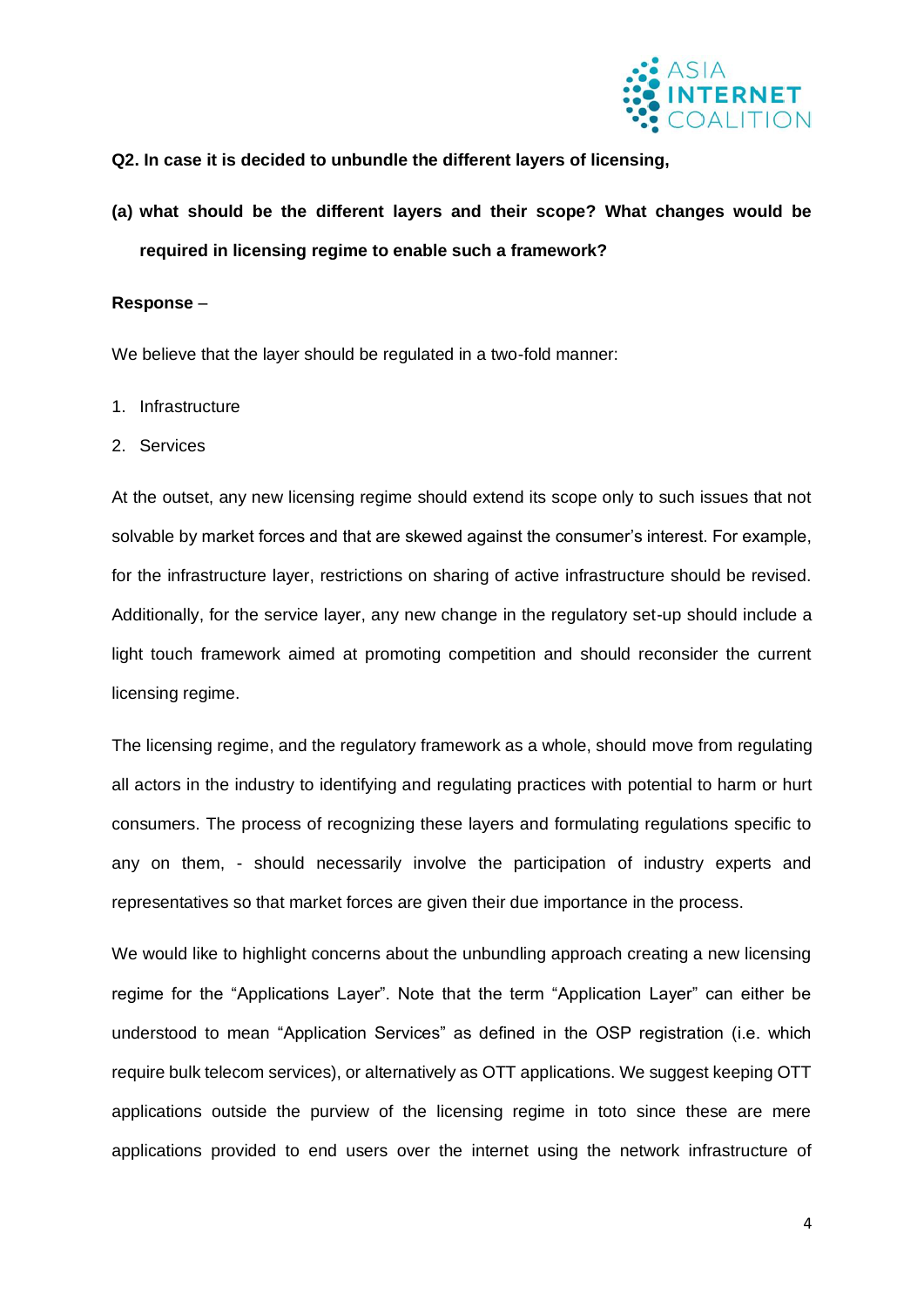

## **Q2. In case it is decided to unbundle the different layers of licensing,**

**(a) what should be the different layers and their scope? What changes would be required in licensing regime to enable such a framework?** 

#### **Response** –

We believe that the layer should be regulated in a two-fold manner:

- 1. Infrastructure
- 2. Services

At the outset, any new licensing regime should extend its scope only to such issues that not solvable by market forces and that are skewed against the consumer's interest. For example, for the infrastructure layer, restrictions on sharing of active infrastructure should be revised. Additionally, for the service layer, any new change in the regulatory set-up should include a light touch framework aimed at promoting competition and should reconsider the current licensing regime.

The licensing regime, and the regulatory framework as a whole, should move from regulating all actors in the industry to identifying and regulating practices with potential to harm or hurt consumers. The process of recognizing these layers and formulating regulations specific to any on them, - should necessarily involve the participation of industry experts and representatives so that market forces are given their due importance in the process.

We would like to highlight concerns about the unbundling approach creating a new licensing regime for the "Applications Layer". Note that the term "Application Layer" can either be understood to mean "Application Services" as defined in the OSP registration (i.e. which require bulk telecom services), or alternatively as OTT applications. We suggest keeping OTT applications outside the purview of the licensing regime in toto since these are mere applications provided to end users over the internet using the network infrastructure of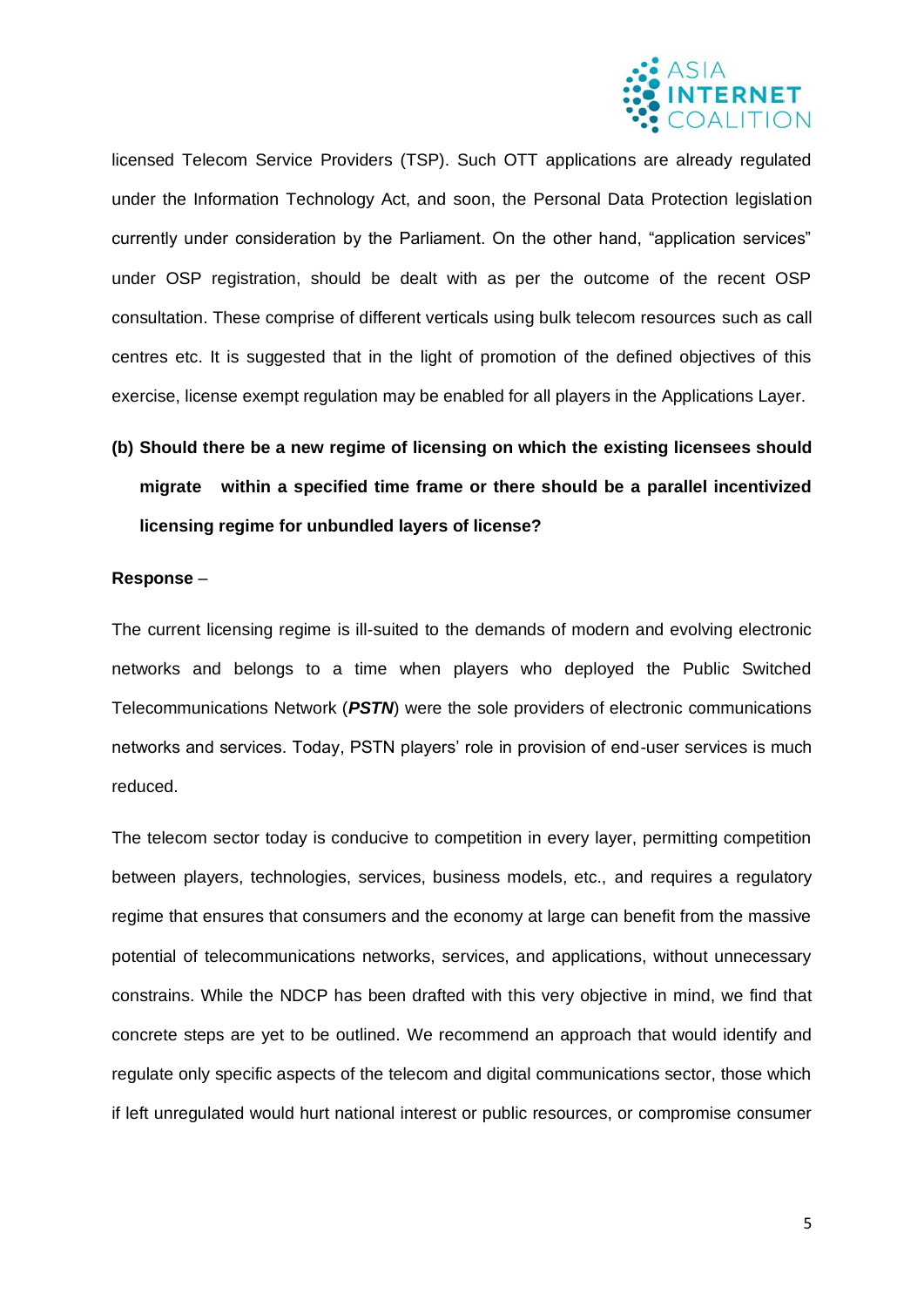

licensed Telecom Service Providers (TSP). Such OTT applications are already regulated under the Information Technology Act, and soon, the Personal Data Protection legislation currently under consideration by the Parliament. On the other hand, "application services" under OSP registration, should be dealt with as per the outcome of the recent OSP consultation. These comprise of different verticals using bulk telecom resources such as call centres etc. It is suggested that in the light of promotion of the defined objectives of this exercise, license exempt regulation may be enabled for all players in the Applications Layer.

# **(b) Should there be a new regime of licensing on which the existing licensees should migrate within a specified time frame or there should be a parallel incentivized licensing regime for unbundled layers of license?**

## **Response** –

The current licensing regime is ill-suited to the demands of modern and evolving electronic networks and belongs to a time when players who deployed the Public Switched Telecommunications Network (*PSTN*) were the sole providers of electronic communications networks and services. Today, PSTN players' role in provision of end-user services is much reduced.

The telecom sector today is conducive to competition in every layer, permitting competition between players, technologies, services, business models, etc., and requires a regulatory regime that ensures that consumers and the economy at large can benefit from the massive potential of telecommunications networks, services, and applications, without unnecessary constrains. While the NDCP has been drafted with this very objective in mind, we find that concrete steps are yet to be outlined. We recommend an approach that would identify and regulate only specific aspects of the telecom and digital communications sector, those which if left unregulated would hurt national interest or public resources, or compromise consumer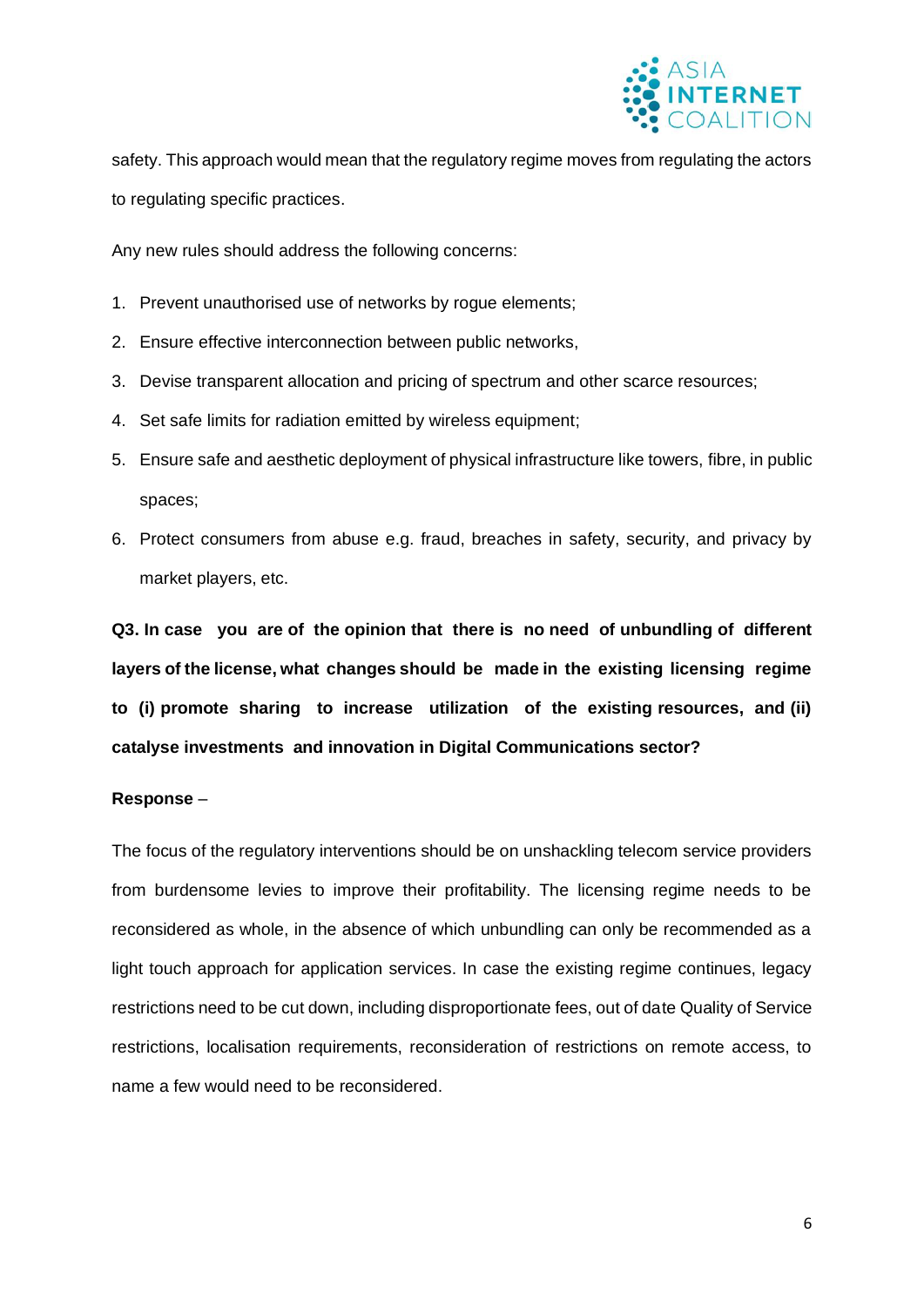

safety. This approach would mean that the regulatory regime moves from regulating the actors to regulating specific practices.

Any new rules should address the following concerns:

- 1. Prevent unauthorised use of networks by rogue elements;
- 2. Ensure effective interconnection between public networks,
- 3. Devise transparent allocation and pricing of spectrum and other scarce resources;
- 4. Set safe limits for radiation emitted by wireless equipment;
- 5. Ensure safe and aesthetic deployment of physical infrastructure like towers, fibre, in public spaces;
- 6. Protect consumers from abuse e.g. fraud, breaches in safety, security, and privacy by market players, etc.

**Q3. In case you are of the opinion that there is no need of unbundling of different layers of the license, what changes should be made in the existing licensing regime to (i) promote sharing to increase utilization of the existing resources, and (ii) catalyse investments and innovation in Digital Communications sector?**

## **Response** –

The focus of the regulatory interventions should be on unshackling telecom service providers from burdensome levies to improve their profitability. The licensing regime needs to be reconsidered as whole, in the absence of which unbundling can only be recommended as a light touch approach for application services. In case the existing regime continues, legacy restrictions need to be cut down, including disproportionate fees, out of date Quality of Service restrictions, localisation requirements, reconsideration of restrictions on remote access, to name a few would need to be reconsidered.